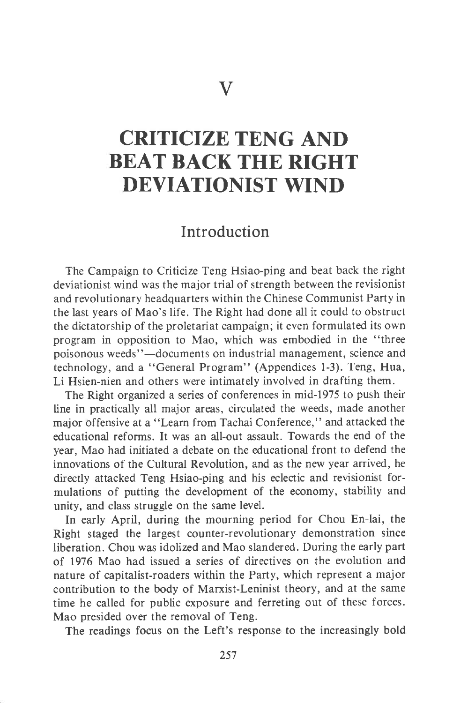## CRITICIZE' TENG AND BEAT BACK THE RIGHT DEVIATIONIST WIND

## Introduction

The Campaign to Criticize Teng Hsiao-ping and beat back the right deviationist wind was the major trial of strength between the revisionist and revolutionary headquarters within the Chinese Communist Party in the last years of Mao's life. The Right had done all it could to obstruct the dictatorship of the proletariat campaign; it even formulated its own program in opposition to Mao, which was embodied in the "three poisonous weeds"-documents on industrial management, science and technology, and a "General Program" (Appendices 1-3). Teng, Hua, Li Hsien-nien and others were intimately involved in drafting them.

The Right organized a series of conferences in mid-1975 to push their line in practically all major areas, circulated the weeds, made another major offensive at a "Leam from Tachai Conference," and attacked the educational reforms. It was an all-out assault. Towards the end of the year, Mao had initiated a debate on the educational front to defend the innovations of the Cultural Revolution, and as the new year arrived, he directly attacked Teng Hsiao-ping and his eclectic and revisionist formulations of putting the development of the economy, stability and unity, and class struggle on the same level.

In early April, during the mourning period for Chou En-lai, the Right staged the largest counter-revolutionary demonstration since liberation. Chou was idolized and Mao slandered. During the early part of 1976 Mao had issued a series of directives on the evolution and nature of capitalist-roaders within the Party, which represent a major contribution to the body of Marxist-Leninist theory, and at the same time he called for public exposure and ferreting out of these forces. Mao presided over the removal of Teng.

The readings focus on the Left's response to the increasingly bold